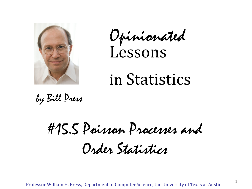

Opinionated Lessons

# in Statistics

by Bill Press

#15.5 Poisson Processes and Order Statistics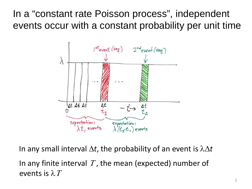In a "constant rate Poisson process", independent events occur with a constant probability per unit time



In any small interval ∆*t*, the probability of an event is λ∆*t* In any finite interval T, the mean (expected) number of events is  $\lambda T$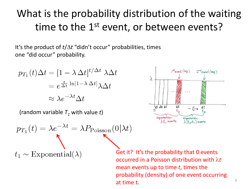## What is the probability distribution of the waiting time to the 1<sup>st</sup> event, or between events?

It's the product of *t*/∆*t* "didn't occur" probabilities, times one "did occur" probability.

$$
p_{T_1}(t)\Delta t = [1 - \lambda \Delta t]^{t/\Delta t} \lambda \Delta t
$$

$$
= e^{\frac{t}{\Delta t} \ln[1 - \lambda \Delta t]} \lambda \Delta t
$$

$$
\approx \lambda e^{-\lambda t} \Delta t
$$

(random variable  $T_1$  with value  $t$ )

$$
p_{T_1}(t) = \lambda e^{-\lambda t} = \lambda P_{\text{Poisson}}(0|\lambda t)
$$

 $t_1 \sim$  Exponential( $\lambda$ )

Get it? It's the probability that 0 events occurred in a Poisson distribution with λ*t* mean events up to time *t*, times the probability (density) of one event occurring at time t.  $\frac{3}{3}$ 

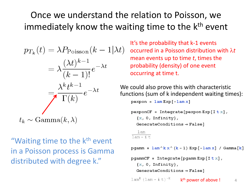#### Once we understand the relation to Poisson, we immediately know the waiting time to the k<sup>th</sup> event

$$
p_{T_k}(t) = \lambda P_{\text{Poisson}}(k - 1|\lambda t)
$$

$$
= \lambda \frac{(\lambda t)^{k-1}}{(k-1)!} e^{-\lambda t}
$$

$$
= \lambda \frac{k_t k^{-1}}{\Gamma(k)} e^{-\lambda t}
$$
W  
fu  

$$
t_k \sim \text{Gamma}(k, \lambda)
$$

"Waiting time to the k<sup>th</sup> event in a Poisson process is Gamma distributed with degree k."

It's the probability that k-1 events occurred in a Poisson distribution with λ*t* mean events up to time *t*, times the probability (density) of one event occurring at time t.

We could also prove this with characteristic functions (sum of k independent waiting times):

```
pexpon = lam Exp[-lam x]
```

```
pexponCF = Integrate [pexpon Exp [Itx],
  \{x, 0, \text{Infinity}\},
```
GenerateConditions  $\rightarrow$  False]

```
lam
\overline{lam - i +}
```
pgamm =  $lam^k x^k (k - 1) Exp [-lam x] / Gamma[k]$ 

```
pgammCF = Integrate [pgamm Exp [Itx],
  \{x, 0, \text{Infinity}\},GenerateConditions \rightarrow False]
```
 $\text{lam}^k$  (lam - i t)<sup>-k</sup>  $k<sup>th</sup>$  power of above !  $4<sup>th</sup>$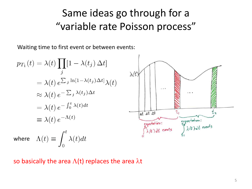### Same ideas go through for a "variable rate Poisson process"

Waiting time to first event or between events:

$$
p_{T_1}(t) = \lambda(t) \prod_j [1 - \lambda(t_j) \Delta t]
$$
  
\n
$$
= \lambda(t) e^{\sum_j \ln[1 - \lambda(t_j) \Delta t]} \lambda(t)
$$
  
\n
$$
\approx \lambda(t) e^{-\sum_j \lambda(t_j) \Delta t}
$$
  
\n
$$
= \lambda(t) e^{-\int_0^t \lambda(t) dt}
$$
  
\n
$$
\equiv \lambda(t) e^{-\Lambda(t)}
$$
  
\nwhere  $\Lambda(t) \equiv \int_0^t \lambda(t) dt$   
\n
$$
\lambda(t) dt
$$
  
\n
$$
\lambda(t) dt
$$
  
\n
$$
\lambda(t) dt
$$
  
\nwhere  $\Lambda(t) \equiv \int_0^t \lambda(t) dt$ 

so basically the area  $\Lambda(t)$  replaces the area  $\lambda t$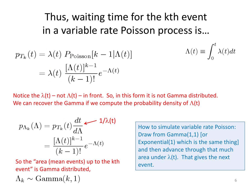## Thus, waiting time for the kth event in a variable rate Poisson process is…

$$
p_{T_k}(t) = \lambda(t) P_{\text{Poisson}}[k-1|\Lambda(t)] \qquad \Lambda(t) \equiv \int_0^{\infty} \lambda(t)dt
$$

$$
= \lambda(t) \frac{[\Lambda(t)]^{k-1}}{(k-1)!} e^{-\Lambda(t)}
$$

Notice the  $\lambda(t)$  – not  $\Lambda(t)$  – in front. So, in this form it is not Gamma distributed. We can recover the Gamma if we compute the probability density of  $\Lambda(t)$ 

$$
p_{\Lambda_k}(\Lambda) = p_{T_k}(t) \frac{dt}{d\Lambda} \longleftarrow 1/\lambda(t)
$$

$$
= \frac{[\Lambda(t)]^{k-1}}{(k-1)!} e^{-\Lambda(t)}
$$

So the "area (mean events) up to the kth event" is Gamma distributed,

How to simulate variable rate Poisson: Draw from Gamma(1,1) [or Exponential(1) which is the same thing] and then advance through that much area under  $\lambda(t)$ . That gives the next event.

 $rt$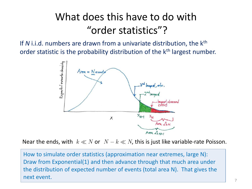## What does this have to do with "order statistics"?

If *N* i.i.d. numbers are drawn from a univariate distribution, the k<sup>th</sup> order statistic is the probability distribution of the k<sup>th</sup> largest number.



Near the ends, with  $k \ll N$  or  $N - k \ll N$ , this is just like variable-rate Poisson.

How to simulate order statistics (approximation near extremes, large N): Draw from Exponential(1) and then advance through that much area under the distribution of expected number of events (total area N). That gives the next event.